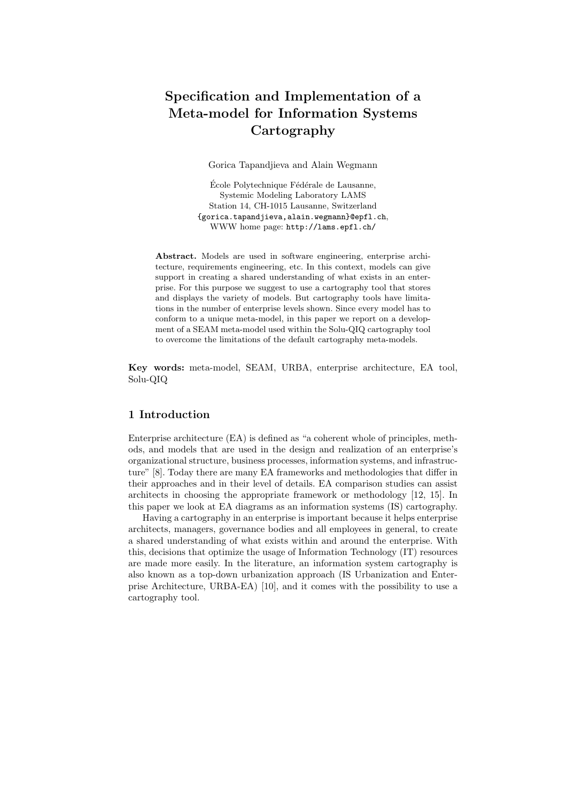# Specification and Implementation of a Meta-model for Information Systems **Cartography**

Gorica Tapandjieva and Alain Wegmann

École Polytechnique Fédérale de Lausanne, Systemic Modeling Laboratory LAMS Station 14, CH-1015 Lausanne, Switzerland {gorica.tapandjieva,alain.wegmann}@epfl.ch, WWW home page: http://lams.epfl.ch/

Abstract. Models are used in software engineering, enterprise architecture, requirements engineering, etc. In this context, models can give support in creating a shared understanding of what exists in an enterprise. For this purpose we suggest to use a cartography tool that stores and displays the variety of models. But cartography tools have limitations in the number of enterprise levels shown. Since every model has to conform to a unique meta-model, in this paper we report on a development of a SEAM meta-model used within the Solu-QIQ cartography tool to overcome the limitations of the default cartography meta-models.

Key words: meta-model, SEAM, URBA, enterprise architecture, EA tool, Solu-QIQ

# 1 Introduction

Enterprise architecture (EA) is defined as "a coherent whole of principles, methods, and models that are used in the design and realization of an enterprise's organizational structure, business processes, information systems, and infrastructure" [8]. Today there are many EA frameworks and methodologies that differ in their approaches and in their level of details. EA comparison studies can assist architects in choosing the appropriate framework or methodology [12, 15]. In this paper we look at EA diagrams as an information systems (IS) cartography.

Having a cartography in an enterprise is important because it helps enterprise architects, managers, governance bodies and all employees in general, to create a shared understanding of what exists within and around the enterprise. With this, decisions that optimize the usage of Information Technology (IT) resources are made more easily. In the literature, an information system cartography is also known as a top-down urbanization approach (IS Urbanization and Enterprise Architecture, URBA-EA) [10], and it comes with the possibility to use a cartography tool.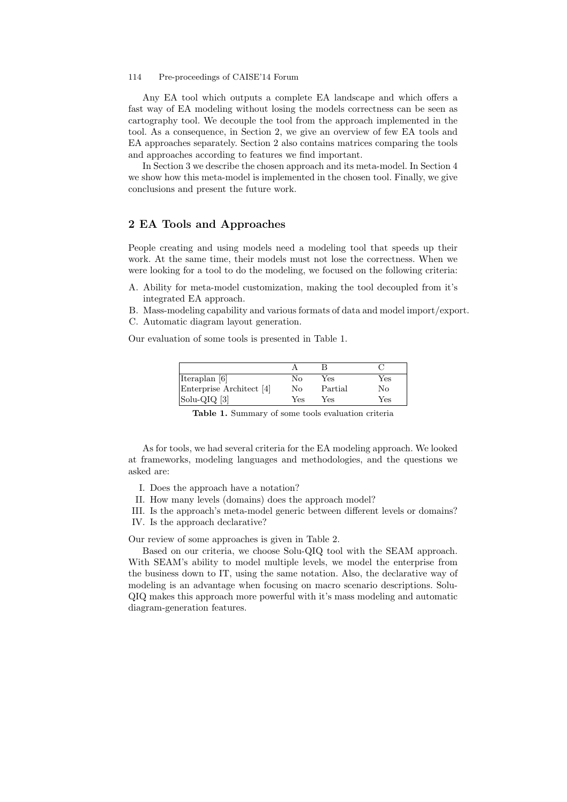#### 114 Pre-proceedings of CAISE'14 Forum

Any EA tool which outputs a complete EA landscape and which offers a fast way of EA modeling without losing the models correctness can be seen as cartography tool. We decouple the tool from the approach implemented in the tool. As a consequence, in Section 2, we give an overview of few EA tools and EA approaches separately. Section 2 also contains matrices comparing the tools and approaches according to features we find important.

In Section 3 we describe the chosen approach and its meta-model. In Section 4 we show how this meta-model is implemented in the chosen tool. Finally, we give conclusions and present the future work.

## 2 EA Tools and Approaches

People creating and using models need a modeling tool that speeds up their work. At the same time, their models must not lose the correctness. When we were looking for a tool to do the modeling, we focused on the following criteria:

A. Ability for meta-model customization, making the tool decoupled from it's integrated EA approach.

B. Mass-modeling capability and various formats of data and model import/export. C. Automatic diagram layout generation.

Our evaluation of some tools is presented in Table 1.

| Iteraplan [6]            | Nο  | Yes     | Yes |
|--------------------------|-----|---------|-----|
| Enterprise Architect [4] | No  | Partial | Nο  |
| Solu-QIQ [3]             | Yes | Yes     | Yes |

Table 1. Summary of some tools evaluation criteria

As for tools, we had several criteria for the EA modeling approach. We looked at frameworks, modeling languages and methodologies, and the questions we asked are:

- I. Does the approach have a notation?
- II. How many levels (domains) does the approach model?
- III. Is the approach's meta-model generic between different levels or domains? IV. Is the approach declarative?

Our review of some approaches is given in Table 2.

Based on our criteria, we choose Solu-QIQ tool with the SEAM approach. With SEAM's ability to model multiple levels, we model the enterprise from the business down to IT, using the same notation. Also, the declarative way of modeling is an advantage when focusing on macro scenario descriptions. Solu-QIQ makes this approach more powerful with it's mass modeling and automatic diagram-generation features.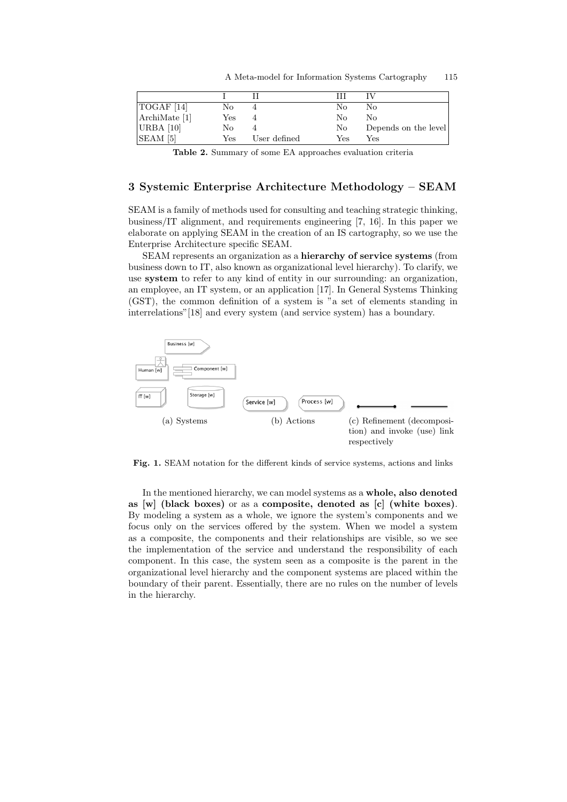| $\vert$ TOGAF $\vert$ 14]      | No  |              | No  | No                   |
|--------------------------------|-----|--------------|-----|----------------------|
| ArchiMate [1]                  | Yes |              | Nο  | No                   |
| URBA $[10]$                    | No  |              | No  | Depends on the level |
| $\vert$ SEAM $\vert$ 5 $\vert$ | Yes | User defined | Yes | Yes                  |

A Meta-model for Information Systems Cartography 115

Table 2. Summary of some EA approaches evaluation criteria

# 3 Systemic Enterprise Architecture Methodology – SEAM

SEAM is a family of methods used for consulting and teaching strategic thinking, business/IT alignment, and requirements engineering [7, 16]. In this paper we elaborate on applying SEAM in the creation of an IS cartography, so we use the Enterprise Architecture specific SEAM.

SEAM represents an organization as a hierarchy of service systems (from business down to IT, also known as organizational level hierarchy). To clarify, we use system to refer to any kind of entity in our surrounding: an organization, an employee, an IT system, or an application [17]. In General Systems Thinking (GST), the common definition of a system is "a set of elements standing in interrelations"[18] and every system (and service system) has a boundary.



Fig. 1. SEAM notation for the different kinds of service systems, actions and links

In the mentioned hierarchy, we can model systems as a whole, also denoted as [w] (black boxes) or as a composite, denoted as [c] (white boxes). By modeling a system as a whole, we ignore the system's components and we focus only on the services offered by the system. When we model a system as a composite, the components and their relationships are visible, so we see the implementation of the service and understand the responsibility of each component. In this case, the system seen as a composite is the parent in the organizational level hierarchy and the component systems are placed within the boundary of their parent. Essentially, there are no rules on the number of levels in the hierarchy.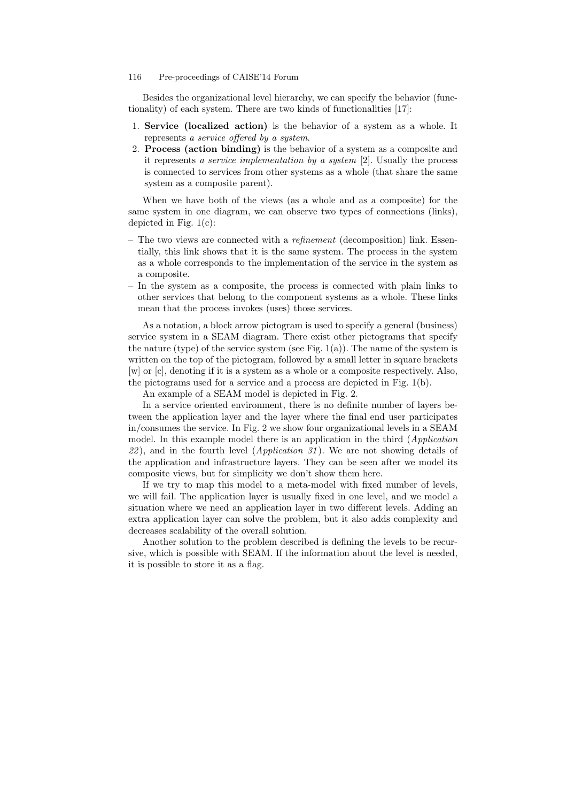#### 116 Pre-proceedings of CAISE'14 Forum

Besides the organizational level hierarchy, we can specify the behavior (functionality) of each system. There are two kinds of functionalities [17]:

- 1. Service (localized action) is the behavior of a system as a whole. It represents a service offered by a system.
- 2. Process (action binding) is the behavior of a system as a composite and it represents a service implementation by a system [2]. Usually the process is connected to services from other systems as a whole (that share the same system as a composite parent).

When we have both of the views (as a whole and as a composite) for the same system in one diagram, we can observe two types of connections (links), depicted in Fig. 1(c):

- The two views are connected with a *refinement* (decomposition) link. Essentially, this link shows that it is the same system. The process in the system as a whole corresponds to the implementation of the service in the system as a composite.
- In the system as a composite, the process is connected with plain links to other services that belong to the component systems as a whole. These links mean that the process invokes (uses) those services.

As a notation, a block arrow pictogram is used to specify a general (business) service system in a SEAM diagram. There exist other pictograms that specify the nature (type) of the service system (see Fig.  $1(a)$ ). The name of the system is written on the top of the pictogram, followed by a small letter in square brackets [w] or [c], denoting if it is a system as a whole or a composite respectively. Also, the pictograms used for a service and a process are depicted in Fig. 1(b).

An example of a SEAM model is depicted in Fig. 2.

In a service oriented environment, there is no definite number of layers between the application layer and the layer where the final end user participates in/consumes the service. In Fig. 2 we show four organizational levels in a SEAM model. In this example model there is an application in the third (Application  $22$ ), and in the fourth level (*Application 31*). We are not showing details of the application and infrastructure layers. They can be seen after we model its composite views, but for simplicity we don't show them here.

If we try to map this model to a meta-model with fixed number of levels, we will fail. The application layer is usually fixed in one level, and we model a situation where we need an application layer in two different levels. Adding an extra application layer can solve the problem, but it also adds complexity and decreases scalability of the overall solution.

Another solution to the problem described is defining the levels to be recursive, which is possible with SEAM. If the information about the level is needed, it is possible to store it as a flag.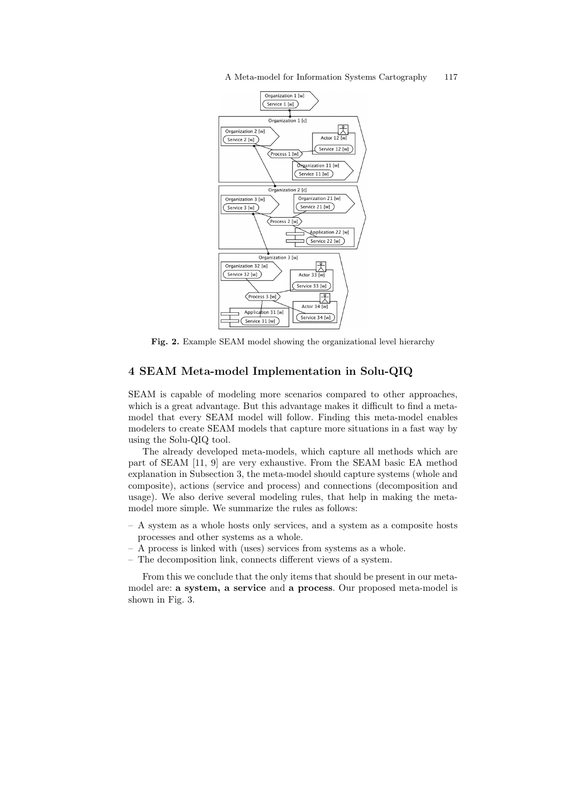A Meta-model for Information Systems Cartography 117



Fig. 2. Example SEAM model showing the organizational level hierarchy

# 4 SEAM Meta-model Implementation in Solu-QIQ

SEAM is capable of modeling more scenarios compared to other approaches, which is a great advantage. But this advantage makes it difficult to find a metamodel that every SEAM model will follow. Finding this meta-model enables modelers to create SEAM models that capture more situations in a fast way by using the Solu-QIQ tool.

The already developed meta-models, which capture all methods which are part of SEAM [11, 9] are very exhaustive. From the SEAM basic EA method explanation in Subsection 3, the meta-model should capture systems (whole and composite), actions (service and process) and connections (decomposition and usage). We also derive several modeling rules, that help in making the metamodel more simple. We summarize the rules as follows:

- A system as a whole hosts only services, and a system as a composite hosts processes and other systems as a whole.
- A process is linked with (uses) services from systems as a whole.
- The decomposition link, connects different views of a system.

From this we conclude that the only items that should be present in our metamodel are: a system, a service and a process. Our proposed meta-model is shown in Fig. 3.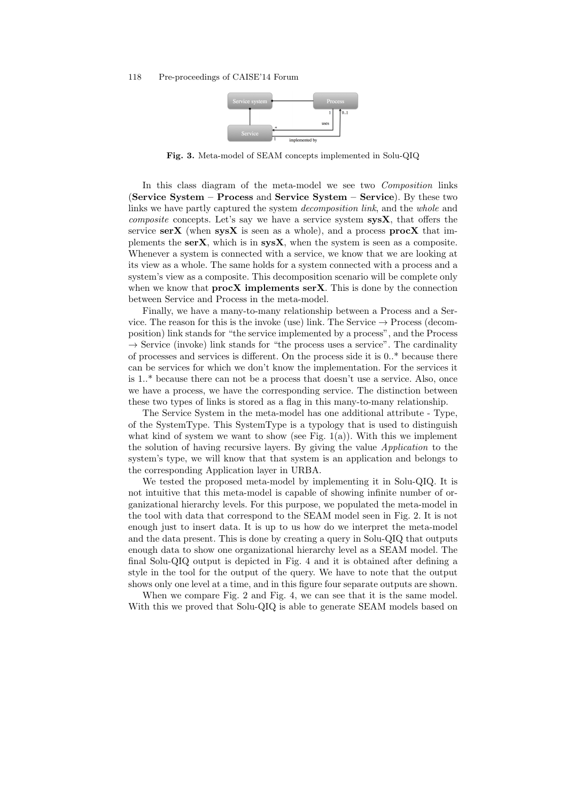

Fig. 3. Meta-model of SEAM concepts implemented in Solu-QIQ

In this class diagram of the meta-model we see two Composition links (Service System – Process and Service System – Service). By these two links we have partly captured the system decomposition link, and the whole and *composite* concepts. Let's say we have a service system  $sysX$ , that offers the service  $\textbf{serX}$  (when  $\textbf{sysX}$  is seen as a whole), and a process **procX** that implements the  $serX$ , which is in  $sysX$ , when the system is seen as a composite. Whenever a system is connected with a service, we know that we are looking at its view as a whole. The same holds for a system connected with a process and a system's view as a composite. This decomposition scenario will be complete only when we know that  $\mathbf{procX}$  implements  $\mathbf{serX}$ . This is done by the connection between Service and Process in the meta-model.

Finally, we have a many-to-many relationship between a Process and a Service. The reason for this is the invoke (use) link. The Service  $\rightarrow$  Process (decomposition) link stands for "the service implemented by a process", and the Process  $\rightarrow$  Service (invoke) link stands for "the process uses a service". The cardinality of processes and services is different. On the process side it is 0..\* because there can be services for which we don't know the implementation. For the services it is 1..\* because there can not be a process that doesn't use a service. Also, once we have a process, we have the corresponding service. The distinction between these two types of links is stored as a flag in this many-to-many relationship.

The Service System in the meta-model has one additional attribute - Type, of the SystemType. This SystemType is a typology that is used to distinguish what kind of system we want to show (see Fig.  $1(a)$ ). With this we implement the solution of having recursive layers. By giving the value Application to the system's type, we will know that that system is an application and belongs to the corresponding Application layer in URBA.

We tested the proposed meta-model by implementing it in Solu-QIQ. It is not intuitive that this meta-model is capable of showing infinite number of organizational hierarchy levels. For this purpose, we populated the meta-model in the tool with data that correspond to the SEAM model seen in Fig. 2. It is not enough just to insert data. It is up to us how do we interpret the meta-model and the data present. This is done by creating a query in Solu-QIQ that outputs enough data to show one organizational hierarchy level as a SEAM model. The final Solu-QIQ output is depicted in Fig. 4 and it is obtained after defining a style in the tool for the output of the query. We have to note that the output shows only one level at a time, and in this figure four separate outputs are shown.

When we compare Fig. 2 and Fig. 4, we can see that it is the same model. With this we proved that Solu-QIQ is able to generate SEAM models based on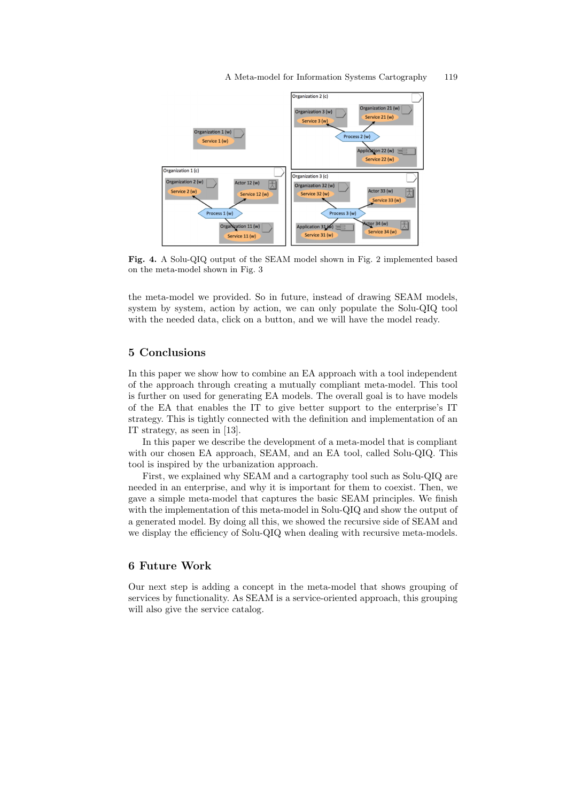A Meta-model for Information Systems Cartography 119



Fig. 4. A Solu-QIQ output of the SEAM model shown in Fig. 2 implemented based on the meta-model shown in Fig. 3

the meta-model we provided. So in future, instead of drawing SEAM models, system by system, action by action, we can only populate the Solu-QIQ tool with the needed data, click on a button, and we will have the model ready.

## 5 Conclusions

In this paper we show how to combine an EA approach with a tool independent of the approach through creating a mutually compliant meta-model. This tool is further on used for generating EA models. The overall goal is to have models of the EA that enables the IT to give better support to the enterprise's IT strategy. This is tightly connected with the definition and implementation of an IT strategy, as seen in [13].

In this paper we describe the development of a meta-model that is compliant with our chosen EA approach, SEAM, and an EA tool, called Solu-QIQ. This tool is inspired by the urbanization approach.

First, we explained why SEAM and a cartography tool such as Solu-QIQ are needed in an enterprise, and why it is important for them to coexist. Then, we gave a simple meta-model that captures the basic SEAM principles. We finish with the implementation of this meta-model in Solu-QIQ and show the output of a generated model. By doing all this, we showed the recursive side of SEAM and we display the efficiency of Solu-QIQ when dealing with recursive meta-models.

## 6 Future Work

Our next step is adding a concept in the meta-model that shows grouping of services by functionality. As SEAM is a service-oriented approach, this grouping will also give the service catalog.